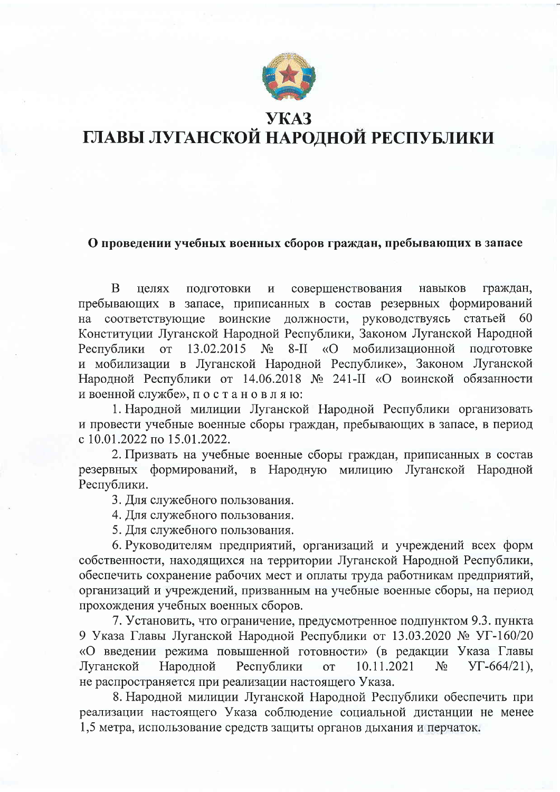

## **YKA3** ГЛАВЫ ЛУГАНСКОЙ НАРОДНОЙ РЕСПУБЛИКИ

## О проведении учебных военных сборов граждан, пребывающих в запасе

 $\overline{B}$ пелях подготовки  $\mathbf H$ совершенствования навыков граждан, пребывающих в запасе, приписанных в состав резервных формирований должности, руководствуясь статьей соответствующие воинские - 60 на Конституции Луганской Народной Республики, Законом Луганской Народной Республики от 13.02.2015  $N_2$  $8-II$ «О мобилизационной подготовке и мобилизации в Луганской Народной Республике», Законом Луганской Народной Республики от 14.06.2018 № 241-II «О воинской обязанности и военной службе», постановляю:

1. Народной милиции Луганской Народной Республики организовать и провести учебные военные сборы граждан, пребывающих в запасе, в период с 10.01.2022 по 15.01.2022.

2. Призвать на учебные военные сборы граждан, приписанных в состав резервных формирований, в Народную милицию Луганской Народной Республики.

3. Для служебного пользования.

4. Для служебного пользования.

5. Для служебного пользования.

6. Руководителям предприятий, организаций и учреждений всех форм собственности, находящихся на территории Луганской Народной Республики, обеспечить сохранение рабочих мест и оплаты труда работникам предприятий, организаций и учреждений, призванным на учебные военные сборы, на период прохождения учебных военных сборов.

7. Установить, что ограничение, предусмотренное подпунктом 9.3. пункта 9 Указа Главы Луганской Народной Республики от 13.03.2020 № УГ-160/20 «О введении режима повышенной готовности» (в редакции Указа Главы Луганской Народной Республики 10.11.2021  $YT-664/21$ ),  $\overline{O}$  $N_2$ не распространяется при реализации настоящего Указа.

8. Народной милиции Луганской Народной Республики обеспечить при реализации настоящего Указа соблюдение социальной дистанции не менее 1,5 метра, использование средств защиты органов дыхания и перчаток.